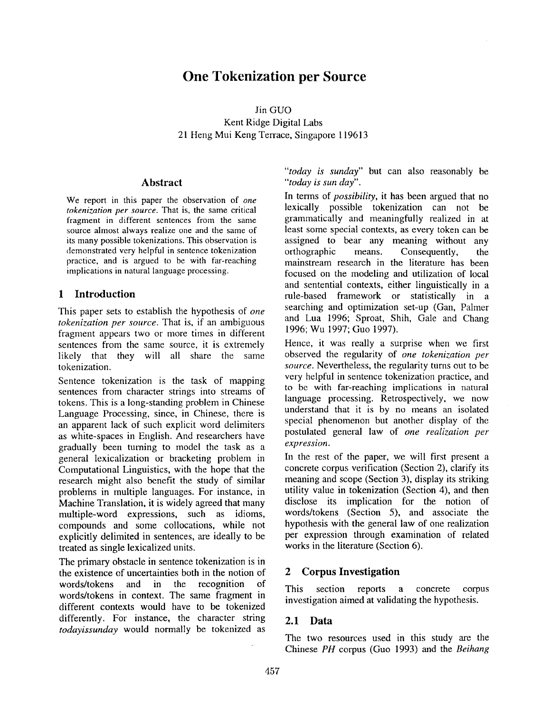# **One Tokenization per Source**

Jin **GUO**  Kent Ridge Digital Labs 21 Heng Mui Keng Terrace, Singapore 119613

#### **Abstract**

We report in this paper the observation of *one tokenization per source.* That is, the same critical fragment in different sentences from the same source almost always realize one and the same of its many possible tokenizations. This observation is demonstrated very helpful in sentence tokenization practice, and is argued to be with far-reaching implications in natural language processing.

#### 1 Introduction

This paper sets to establish the hypothesis of *one tokenization per source.* That is, if an ambiguous fragment appears two or more times in different sentences from the same source, it is extremely likely that they will all share the same tokenization.

Sentence tokenization is the task of mapping sentences from character strings into streams of tokens. This is a long-standing problem in Chinese Language Processing, since, in Chinese, there is an apparent lack of such explicit word delimiters as white-spaces in English. And researchers have gradually been turning to model the task as a general lexicalization or bracketing problem in Computational Linguistics, with the hope that the research might also benefit the study of similar problems in multiple languages. For instance, in Machine Translation, it is widely agreed that many multiple-word expressions, such as idioms, compounds and some collocations, while not explicitly delimited in sentences, are ideally to be treated as single lexicalized units.

The primary obstacle in sentence tokenization is in the existence of uncertainties both in the notion of words/tokens and in the recognition of words/tokens in context. The same fragment in different contexts would have to be tokenized differently. For instance, the character string *todayissunday* would normally be tokenized as

*"today is sunday"* but can also reasonably be *"today is sun day".* 

In terms of *possibility,* it has been argued that no lexically possible tokenization can not be grammatically and meaningfully realized in at least some special contexts, as every token can be assigned to bear any meaning without any orthographic means. Consequently, the mainstream research in the literature has been focused on the modeling and utilization of local and sentential contexts, either linguistically in a rule-based framework or statistically in a searching and optimization set-up (Gan, Palmer and Lua 1996; Sproat, Shih, Gale and Chang 1996; Wu 1997; Guo 1997).

Hence, it was really a surprise when we first observed the regularity of *one tokenization per source.* Nevertheless, the regularity turns out to be very helpful in sentence tokenization practice, and to be with far-reaching implications in natural language processing. Retrospectively, we now understand that it is by no means an isolated special phenomenon but another display of the postulated general law of *one realization per expression.* 

In the rest of the paper, we will first present a concrete corpus verification (Section 2), clarify its meaning and scope (Section 3), display its striking utility value in tokenization (Section 4), and then disclose its implication for the notion of words/tokens (Section 5), and associate the hypothesis with the general law of one realization per expression through examination of related works in the literature (Section 6).

# 2 Corpus **Investigation**

This section reports a concrete corpus investigation aimed at validating the hypothesis.

#### **2.1 Data**

The two resources used in this study are the Chinese *PH* corpus (Guo 1993) and the *Beihang*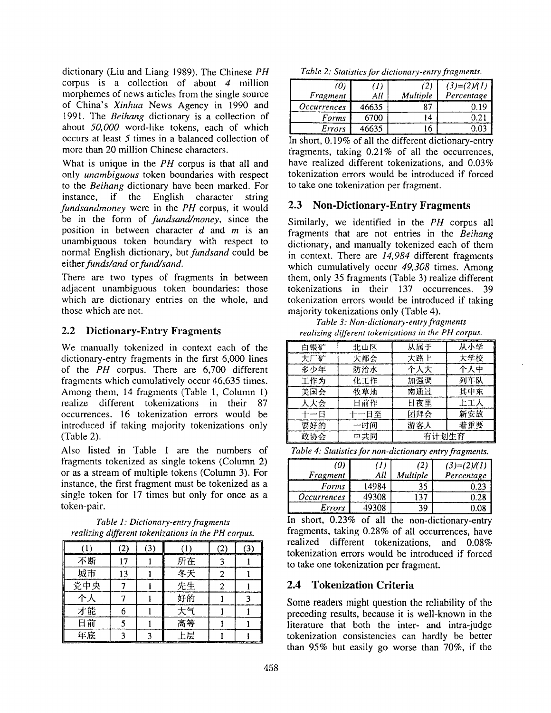dictionary (Liu and Liang 1989). The Chinese *PH*  corpus is a collection of about 4 million morphemes of news articles from the single source of China's *Xinhua* News Agency in 1990 and 1991. The *Beihang* dictionary is a collection of about *50,000* word-like tokens, each of which occurs at least 5 times in a balanced collection of more than 20 million Chinese characters.

What is unique in the *PH* corpus is that all and only *unambiguous* token boundaries with respect to the *Beihang* dictionary have been marked. For instance, if the English character string *fundsandmoney* were in the *PH* corpus, it would be in the form of *fundsand/money,* since the position in between character  $d$  and  $m$  is an unambiguous token boundary with respect to normal English dictionary, but *fundsand* could be *either funds~and or fund/sand.* 

There are two types of fragments in between adjacent unambiguous token boundaries: those which are dictionary entries on the whole, and those which are not.

# 2.2 Dictionary-Entry Fragments

We manually tokenized in context each of the dictionary-entry fragments in the first 6,000 lines of the *PH* corpus. There are 6,700 different fragments which cumulatively occur 46,635 times. Among them, 14 fragments (Table 1, Column I) realize different tokenizations in their 87 occurrences. 16 tokenization errors would be introduced if taking majority tokenizations only (Table 2).

Also listed in Table I are the numbers of fragments tokenized as single tokens (Column 2) or as a stream of multiple tokens (Column 3). For instance, the first fragment must be tokenized as a single token for 17 times but only for once as a token-pair.

*Table 1: Dictionary-entry fragments realizing different tokenizations in the PH corpus.* 

| 不断  |  | 所在 |  |
|-----|--|----|--|
| 城市  |  | 冬天 |  |
| 党中央 |  | 先生 |  |
|     |  | 好的 |  |
| 才能  |  | 大气 |  |
| 日前  |  | 高等 |  |
| 年底  |  | 上层 |  |

*Table 2: Statistics for dictionary-entry fragments.* 

| (0)<br>Fragment    | All   | (2)<br>Multiple | $(3)=(2)/(1)$<br>Percentage |
|--------------------|-------|-----------------|-----------------------------|
| <i>Occurrences</i> | 46635 |                 | ). 19                       |
| Forms              | 6700  |                 | 0.21                        |
| Errors             | 46635 |                 | د0 '                        |

In short, 0.19% of all the different dictionary-entry fragments, taking 0.21% of all the occurrences, have realized different tokenizations, and 0.03% tokenization errors would be introduced if forced to take one tokenization per fragment.

# **2.3 Non-Dictionary-Entry Fragments**

Similarly, we identified in the *PH* corpus all fragments that are not entries in the *Beihang*  dictionary, and manually tokenized each of them in context. There are *14,984* different fragments which cumulatively occur *49,308* times. Among them, only 35 fragments (Table 3) realize different tokenizations in their 137 occurrences. 39 tokenization errors would be introduced if taking majority tokenizations only (Table 4).

*Table 3: Non-dictionary-entry fragments realizing different tokeni: ations in the PH corpus.* 

| 白银矿   | 北山区  | 从属于   | 从小学 |
|-------|------|-------|-----|
| 大厂矿   | 大都会  | 大路上   | 大学校 |
| 多少年   | 防治水  | 个人大   | 个人中 |
| 工作为   | 化工作  | 加强调   | 列车队 |
| 美国会   | 牧草地  | 南通过   | 其中东 |
| 人大会   | 日前作  | 日夜里   | 上工人 |
| ┽╌╾┞┨ | 十一日至 | 团拜会   | 新安放 |
| 要好的   | 一时间  | 游客人   | 着重要 |
| 政协会   | 中共同  | 有计划生育 |     |

*Table 4: Statistics for non-dictionary entry fragments.* 

| (0)<br>Fragment    | All   | (2)<br>Multiple | $(3)=(2)/(1)$<br>Percentage |
|--------------------|-------|-----------------|-----------------------------|
| Forms              | 14984 |                 | ).21                        |
| <i>Occurrences</i> | 49308 |                 | 0.28                        |
| Errors             | 49308 | 39              | ).08                        |

In short, 0.23% of all the non-dictionary-entry fragments, taking 0.28% of all occurrences, have realized different tokenizations, and 0.08% tokenization errors would be introduced if forced to take one tokenization per fragment.

# **2.4 Tokenization Criteria**

Some readers might question the reliability of the preceding results, because it is well-known in the literature that both the inter- and intra-judge tokenization consistencies can hardly be better than 95% but easily go worse than 70%, if the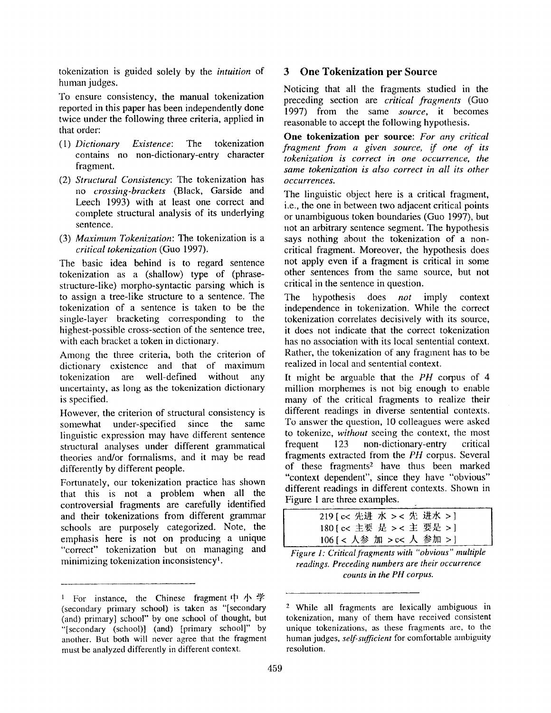tokenization is guided solely by the *intuition* of human judges.

To ensure consistency, the manual tokenization reported in this paper has been independently done twice under the following three criteria, applied in that order:

- *(1) Dictionary Existence:* The tokenization contains no non-dictionary-entry character fragment.
- (2) *Structural Consistency: The* tokenization has *no crossing-brackets* (Black, Garside and Leech 1993) with at least one correct and complete structural analysis of its underlying sentence.
- (3) *Maximum Tokenization: The* tokenization is a *critical tokenization* (Guo 1997).

The basic idea behind is to regard sentence tokenization as a (shallow) type of (phrasestructure-like) morpho-syntactic parsing which is to assign a tree-like structure to a sentence. The tokenization of a sentence is taken to be the single-layer bracketing corresponding to the highest-possible cross-section of the sentence tree, with each bracket a token in dictionary.

Among the three criteria, both the criterion of dictionary existence and that of maximum tokenization are well-defined without any uncertainty, as long as the tokenization dictionary is specified.

However, the criterion of structural consistency is somewhat under-specified since the same linguistic expression may have different sentence structural analyses under different grammatical theories and/or formalisms, and it may be read differently by different people.

Fortunately, our tokenization practice has shown that this is not a problem when all the controversial fragments are carefully identified and their tokenizations from different grammar schools are purposely categorized. Note, the emphasis here is not on producing a unique "correct" tokenization but on managing and minimizing tokenization inconsistency<sup>1</sup>.

#### **3 OneTokenization per Source**

Noticing that all the fragments studied in the preceding section are *critical fragments* (Guo 1997) from the same *source,* it becomes reasonable to accept the following hypothesis.

**One tokenization per source:** *For any critical fragment from a given source, if one of its tokenization is correct in one occurrence, the same tokenization is also correct in all its other occurrences.* 

The linguistic object here is a critical fragment, i.e., the one in between two adjacent critical points or unambiguous token boundaries (Guo 1997), but not an arbitrary sentence segment. The hypothesis says nothing about the tokenization of a noncritical fragment. Moreover, the hypothesis does not apply even if a fragment is critical in some other sentences from the same source, but not critical in the sentence in question.

The hypothesis does *not* imply context independence in tokenization. While the correct tokenization correlates decisively with its source, it does not indicate that the correct tokenization has no association with its local sentential context. Rather, the tokenization of any fragment has to be realized in local and sentential context.

It might be arguable that the *PH* corpus of 4 million morphemes is not big enough to enable many of the critical fragments to realize their different readings in diverse sentential contexts. To answer the question, 10 colleagues were asked to tokenize, *without* seeing the context, the most frequent 123 non-dictionary-entry critical fragments extracted from the *PH* corpus. Several of these fragments<sup>2</sup> have thus been marked "context dependent", since they have "obvious" different readings in different contexts. Shown in Figure I are three examples.

| 219 [ c< 先进 水 > < 先 进水 > ] |  |
|----------------------------|--|
| 180 [ c< 主要 是 > < 主 要是 > ] |  |
| 106 [< 人参 加 > c< 人 参加 > ]  |  |

*Figure 1: Critical fragments with "obvious" multiple readings. Preceding numbers are their occurrence counts in the PH corpus.* 

<sup>&</sup>lt;sup>1</sup> For instance, the Chinese fragment  $\uparrow \uparrow \uparrow \uparrow$ (secondary primary school) is taken as "[secondary (and) primary] school" by one school of thought, but "[secondary (school)] (and) [primary school]" by another. But both will never agree that the fragment must be analyzed differently in different context.

<sup>2</sup> While all fragments are lexically ambiguous in tokenization, many of them have received consistent unique tokenizations, as these fragments are, to the human judges, *self-sufficient* for comfortable ambiguity resolution.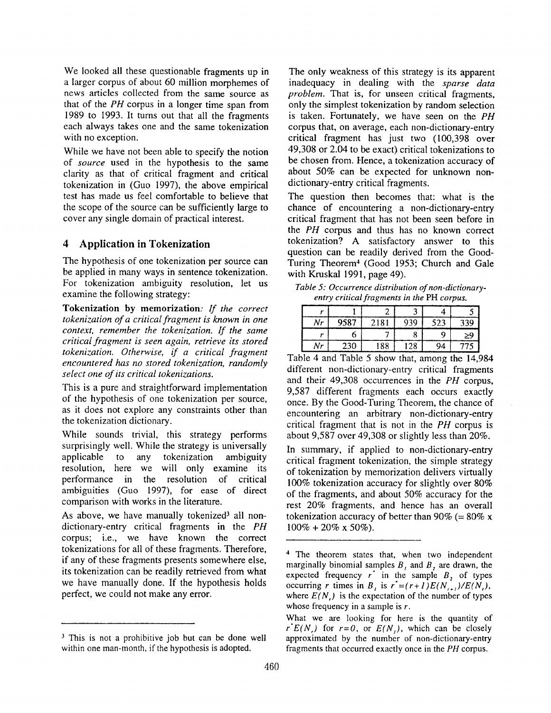We looked all these questionable fragments up in a larger corpus of about 60 million morphemes of news articles collected from the same source as that of the *PH* corpus in a longer time span from 1989 to 1993. It turns out that all the fragments each always takes one and the same tokenization with no exception.

While we have not been able to specify the notion of *source* used in the hypothesis to the same clarity as that of critical fragment and critical tokenization in (Guo 1997), the above empirical test has made us feel comfortable to believe that the scope of the source can be sufficiently large to cover any single domain of practical interest.

# **4 Application in Tokenization**

The hypothesis of one tokenization per source can be applied in many ways in sentence tokenization. For tokenization ambiguity resolution, let us examine the following strategy:

**Tokenization by memorization:** *If the correct tokenization of a critical fragment is known in one context, remember the tokenization. If the same critical fragment is seen again, retrieve its stored tokenization. Otherwise, if a critical fragment encountered has no stored tokenization, randomly select one of its critical tokenizations.* 

This is a pure and straightforward implementation of the hypothesis of one tokenization per source, as it does not explore any constraints other than the tokenization dictionary.

While sounds trivial, this strategy performs surprisingly well. While the strategy is universally applicable to any tokenization ambiguity resolution, here we will only examine its performance in the resolution of critical ambiguities (Guo 1997), for ease of direct comparison with works in the literature.

As above, we have manually tokenized<sup>3</sup> all nondictionary-entry critical fragments in the *PH*  corpus; i.e., we have known the correct tokenizations for all of these fragments. Therefore, if any of these fragments presents somewhere else, its tokenization can be readily retrieved from what we have manually done. If the hypothesis holds perfect, we could not make any error.

The only weakness of this strategy is its apparent inadequacy in dealing with the *sparse data problem.* That is, for unseen critical fragments, only the simplest tokenization by random selection is taken. Fortunately, we have seen on the *PH*  corpus that, on average, each non-dictionary-entry critical fragment has just two (100,398 over 49,308 or 2.04 to be exact) critical tokenizations to be chosen from. Hence, a tokenization accuracy of about 50% can be expected for unknown nondictionary-entry critical fragments.

The question then becomes that: what is the chance of encountering a non-dictionary-entry critical fragment that has not been seen before in the *PH* corpus and thus has no known correct tokenization? A satisfactory answer to this question can be readily derived from the Good-Turing Theorem<sup>4</sup> (Good 1953; Church and Gale with Kruskal 1991, page 49).

*Table 5: Occurrence distribution of non-dictionaryentry critical fragments in the* PH *corpus.* 

| Nr | 9587 | 2181 | 939 | 523 | 339 |
|----|------|------|-----|-----|-----|
|    |      |      |     |     | ≥9  |
| Nr | 230  | 188  | 28  | Q4  | 775 |

Table 4 and Table 5 show that, among the 14,984 different non-dictionary-entry critical fragments and their 49,308 occurrences in the *PH* corpus, 9,587 different fragments each occurs exactly once. By the Good-Turing Theorem, the chance of encountering an arbitrary non-dictionary-entry critical fragment that is not in the *PH* corpus is about 9,587 over 49,308 or slightly less than 20%.

In summary, if applied to non-dictionary-entry critical fragment tokenization, the simple strategy of tokenization by memorization delivers virtually 100% tokenization accuracy for slightly over 80% of the fragments, and about 50% accuracy for the rest 20% fragments, and hence has an overall tokenization accuracy of better than 90% (=  $80\%$  x  $100\% + 20\% \times 50\%$ ).

<sup>&</sup>lt;sup>3</sup> This is not a prohibitive job but can be done well within one man-month, if the hypothesis is adopted.

<sup>4</sup> The theorem states that, when two independent marginally binomial samples  $B_1$ , and  $B_2$  are drawn, the expected frequency  $r^{\dagger}$  in the sample  $B_2$  of types occurring r times in B<sub>i</sub> is  $r'=(r+1)E(N_{r+1})/E(N_r)$ , where  $E(N)$ , is the expectation of the number of types whose frequency in a sample is  $r$ .

What we are looking for here is the quantity of  $r^*E(N)$  for  $r=0$ , or  $E(N)$ , which can be closely approximated by the number of non-dictionary-entry fragments that occurred exactly once in the *PH* corpus.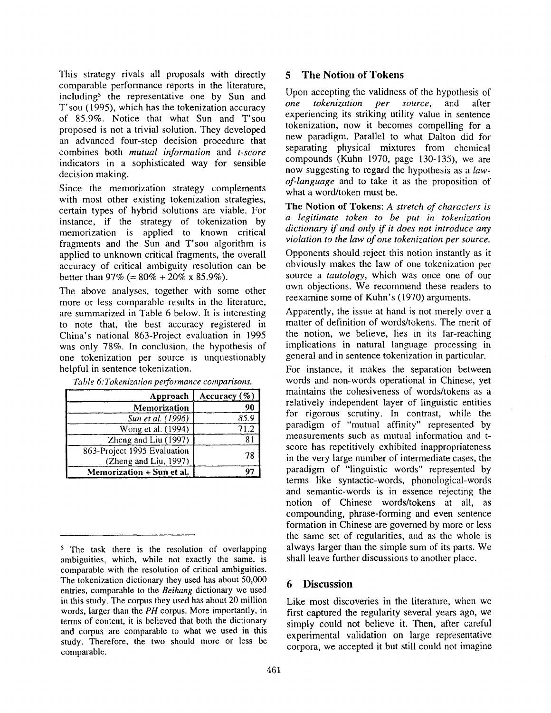This strategy rivals all proposals with directly comparable performance reports in the literature, including<sup>5</sup> the representative one by Sun and T'sou (1995), which has the tokenization accuracy of 85.9%. Notice that what Sun and T'sou proposed is not a trivial solution. They developed an advanced four-step decision procedure that combines both *mutual information* and *t-score*  indicators in a sophisticated way for sensible decision making.

Since the memorization strategy complements with most other existing tokenization strategies, certain types of hybrid solutions are viable. For instance, if the strategy of tokenization by memorization is applied to known critical fragments and the Sun and T'sou algorithm is applied to unknown critical fragments, the overall accuracy of critical ambiguity resolution can be better than 97% (=  $80\% + 20\%$  x 85.9%).

The above analyses, together with some other more or less comparable results in the literature, are summarized in Table 6 below. It is interesting to note that, the best accuracy registered in China's national 863-Project evaluation in 1995 was only 78%. In conclusion, the hypothesis of one tokenization per source is unquestionably helpful in sentence tokenization.

| Approach                                             | Accuracy $(\% )$ |
|------------------------------------------------------|------------------|
| Memorization                                         | 90               |
| Sun et al. (1996)                                    | 85.9             |
| Wong et al. (1994)                                   | 71.2             |
| Zheng and Liu (1997)                                 | 8,               |
| 863-Project 1995 Evaluation<br>(Zheng and Liu, 1997) | 78               |
| Memorization + Sun et al.                            |                  |

| Table 6: Tokenization performance comparisons. |  |
|------------------------------------------------|--|
|------------------------------------------------|--|

# **5 The Notion of Tokens**

Upon accepting the validness of the hypothesis of *one tokenization per source,* and after experiencing its striking utility value in sentence tokenization, now it becomes compelling for a new paradigm. Parallel to what Dalton did for separating physical mixtures from chemical compounds (Kuhn 1970, page 130-135), we are now suggesting to regard the hypothesis as a *lawof-language* and to take it as the proposition of what a word/token must be.

**The Notion of Tokens:** *A stretch of characters is a legitimate token to be put in tokenization dictionary if and only if it does not introduce any violation to the law of one tokenization per source.* 

Opponents should reject this notion instantly as it obviously makes the law of one tokenization per source a *tautology,* which was once one of our own objections. We recommend these readers to reexamine some of Kuhn's (1970) arguments.

Apparently, the issue at hand is not merely over a matter of definition of words/tokens. The merit of the notion, we believe, lies in its far-reaching implications in natural language processing in general and in sentence tokenization in particular.

For instance, it makes the separation between words and non-words operational in Chinese, yet maintains the cohesiveness of words/tokens as a relatively independent layer of linguistic entities for rigorous scrutiny. In contrast, while the paradigm of "mutual affinity" represented by measurements such as mutual information and tscore has repetitively exhibited inappropriateness in the very large number of intermediate cases, the paradigm of "linguistic words" represented by terms like syntactic-words, phonological-words and semantic-words is in essence rejecting the notion of Chinese words/tokens at all, as compounding, phrase-forming and even sentence formation in Chinese are governed by more or less the same set of regularities, and as the whole is always larger than the simple sum of its parts. We shall leave further discussions to another place.

#### **6 Discussion**

Like most discoveries in the literature, when we first captured the regularity several years ago, we simply could not believe it. Then, after careful experimental validation on large representative corpora, we accepted it but still could not imagine

<sup>5</sup> The task there is the resolution of overlapping ambiguities, which, while not exactly the same, is comparable with the resolution of critical ambiguities. The tokenization dictionary they used has about 50,000 entries, comparable to the *Beihang* dictionary we used in this study. The corpus they used has about 20 million words, larger than the *PH* corpus. More importantly, in terms of content, it is believed that both the dictionary and corpus are comparable to what we used in this study. Therefore, the two should more or less be comparable.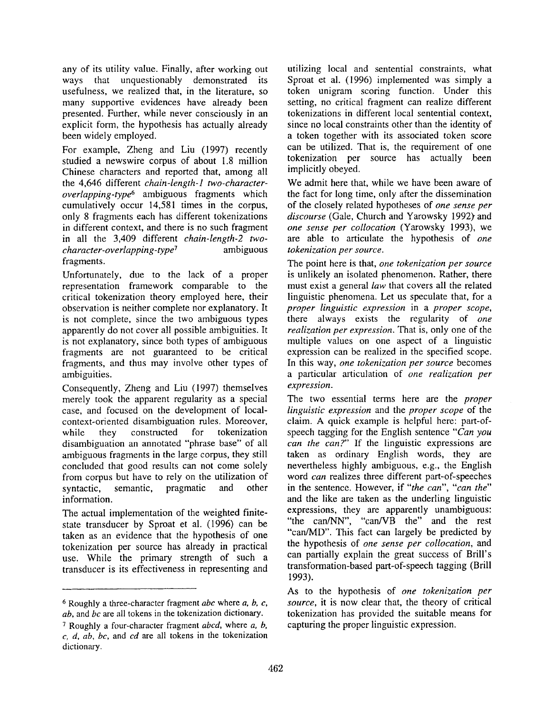any of its utility value. Finally, after working out ways that unquestionably demonstrated its usefulness, we realized that, in the literature, so many supportive evidences have already been presented. Further, while never consciously in an explicit form, the hypothesis has actually already been widely employed.

For example, Zheng and Liu (1997) recently studied a newswire corpus of about 1.8 million Chinese characters and reported that, among all the 4,646 different *chain-length-I two-characteroverlapping-type 6* ambiguous fragments which cumulatively occur 14,581 times in the corpus, only 8 fragments each has different tokenizations in different context, and there is no such fragment in all the 3,409 different *chain-length-2 twocharacter-overlapping-type 7* ambiguous fragments.

Unfortunately, due to the lack of a proper representation framework comparable to the critical tokenization theory employed here, their observation is neither complete nor explanatory. It is not complete, since the two ambiguous types apparently do not cover all possible ambiguities. It is not explanatory, since both types of ambiguous fragments are not guaranteed to be critical fragments, and thus may involve other types of ambiguities.

Consequently, Zheng and Liu (1997) themselves merely took the apparent regularity as a special case, and focused on the development of localcontext-oriented disambiguation rules. Moreover, while they constructed for tokenization disambiguation an annotated "phrase base" of all ambiguous fragments in the large corpus, they still concluded that good results can not come solely from corpus but have to rely on the utilization of syntactic, semantic, pragmatic and other information.

The actual implementation of the weighted finitestate transducer by Sproat et al. (1996) can be taken as an evidence that the hypothesis of one tokenization per source has already in practical use. While the primary strength of such a transducer is its effectiveness in representing and utilizing local and sentential constraints, what Sproat et al. (1996) implemented was simply a token unigram scoring function. Under this setting, no critical fragment can realize different tokenizations in different local sentential context, since no local constraints other than the identity of a token together with its associated token score can be utilized. That is, the requirement of one tokenization per source has actually been implicitly obeyed.

We admit here that, while we have been aware of the fact for long time, only after the dissemination of the closely related hypotheses of *one sense per*  discourse (Gale, Church and Yarowsky 1992) and *one sense per collocation* (Yarowsky 1993), we are able to articulate the hypothesis of *one tokenization per source.* 

The point here is that, *one tokenization per source*  is unlikely an isolated phenomenon. Rather, there must exist a general *law* that covers all the related linguistic phenomena. Let us speculate that, for a *proper linguistic expression* in a *proper scope,*  there always exists the regularity of *one realization per expression.* That is, only one of the multiple values on one aspect of a linguistic expression can be realized in the specified scope. In this way, *one tokenization per source* becomes a particular articulation of *one realization per expression.* 

The two essential terms here are the *proper linguistic expression* and the *proper scope* of the claim. A quick example is helpful here: part-ofspeech tagging for the English sentence *"Can you can the can?"* If the linguistic expressions are taken as ordinary English words, they are nevertheless highly ambiguous, e.g., the English word *can* realizes three different part-of-speeches in the sentence. However, if *"the can", "can the"*  and the like are taken as the underling linguistic expressions, they are apparently unambiguous: "the can/NN", "can/VB the" and the rest "can/MD". This fact can largely be predicted by the hypothesis of *one sense per collocation,* and can partially explain the great success of Brill's transformation-based part-of-speech tagging (Brill 1993).

As to the hypothesis of *one tokenization per source,* it is now clear that, the theory of critical tokenization has provided the suitable means for capturing the proper linguistic expression.

<sup>6</sup> Roughly a three-character fragment *abc* where a, b, c, *ab,* and *bc are* all tokens in the tokenization dictionary.

<sup>7</sup> Roughly a four-character fragment *abcd,* where a, b, *c, d, ab, bc,* and *cd are* all tokens in the tokenization dictionary.